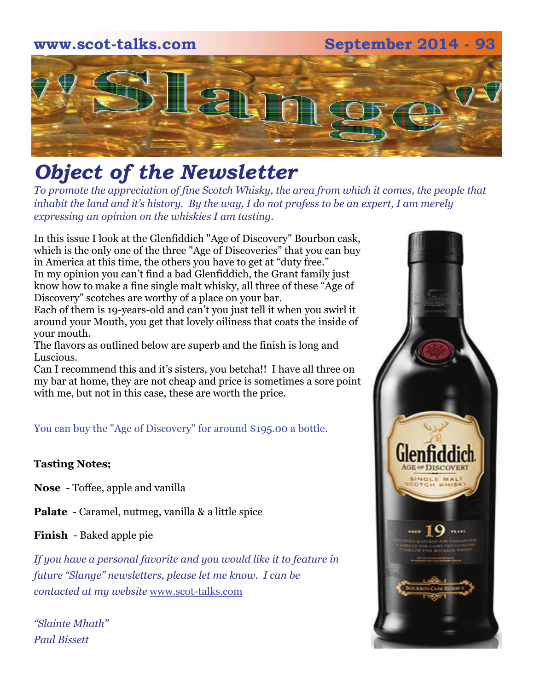## **www.scot-talks.com September 2014 - 93**  $\lfloor 3 \rfloor$

### *Object of the Newsletter*

*To promote the appreciation of fine Scotch Whisky, the area from which it comes, the people that inhabit the land and it's history. By the way, I do not profess to be an expert, I am merely expressing an opinion on the whiskies I am tasting.* 

In this issue I look at the Glenfiddich "Age of Discovery" Bourbon cask, which is the only one of the three "Age of Discoveries" that you can buy in America at this time, the others you have to get at "duty free." In my opinion you can't find a bad Glenfiddich, the Grant family just know how to make a fine single malt whisky, all three of these "Age of Discovery" scotches are worthy of a place on your bar.

Each of them is 19-years-old and can't you just tell it when you swirl it around your Mouth, you get that lovely oiliness that coats the inside of your mouth.

The flavors as outlined below are superb and the finish is long and Luscious.

Can I recommend this and it's sisters, you betcha!! I have all three on my bar at home, they are not cheap and price is sometimes a sore point with me, but not in this case, these are worth the price.

You can buy the "Age of Discovery" for around \$195.00 a bottle.

#### **Tasting Notes;**

**Nose** - Toffee, apple and vanilla

**Palate** - Caramel, nutmeg, vanilla & a little spice

**Finish** - Baked apple pie

*If you have a personal favorite and you would like it to feature in future "Slange" newsletters, please let me know. I can be contacted at my website* [www.scot-talks.com](http://www.scot-talks.com/default.html)

*"Slainte Mhath" Paul Bissett*

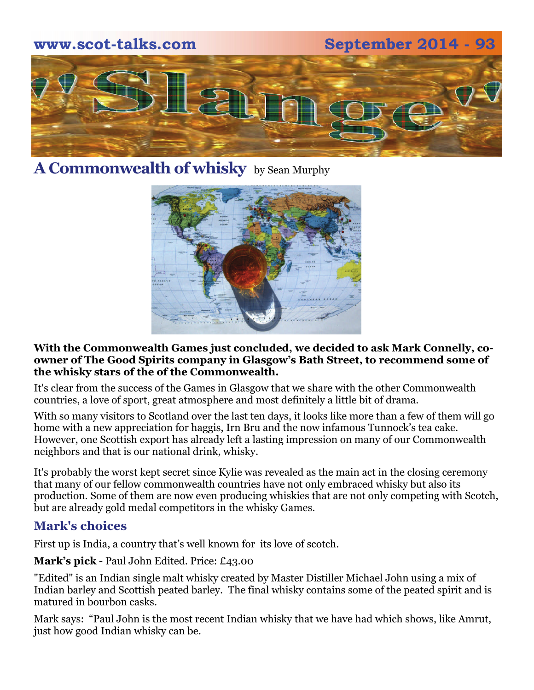

#### **A Commonwealth of whisky** by Sean Murphy



#### **With the Commonwealth Games just concluded, we decided to ask Mark Connelly, coowner of The Good Spirits company in Glasgow's Bath Street, to recommend some of the whisky stars of the of the Commonwealth.**

It's clear from the success of the Games in Glasgow that we share with the other Commonwealth countries, a love of sport, great atmosphere and most definitely a little bit of drama.

With so many visitors to Scotland over the last ten days, it looks like more than a few of them will go home with a new appreciation for haggis, Irn Bru and the now infamous Tunnock's tea cake. However, one Scottish export has already left a lasting impression on many of our Commonwealth neighbors and that is our national drink, whisky.

It's probably the worst kept secret since Kylie was revealed as the main act in the closing ceremony that many of our fellow commonwealth countries have not only embraced whisky but also its production. Some of them are now even producing whiskies that are not only competing with Scotch, but are already gold medal competitors in the whisky Games.

#### **Mark's choices**

First up is India, a country that's well known for its love of scotch.

**Mark's pick** - Paul John Edited. Price: £43.00

"Edited" is an Indian single malt whisky created by Master Distiller Michael John using a mix of Indian barley and Scottish peated barley. The final whisky contains some of the peated spirit and is matured in bourbon casks.

Mark says: "Paul John is the most recent Indian whisky that we have had which shows, like Amrut, just how good Indian whisky can be.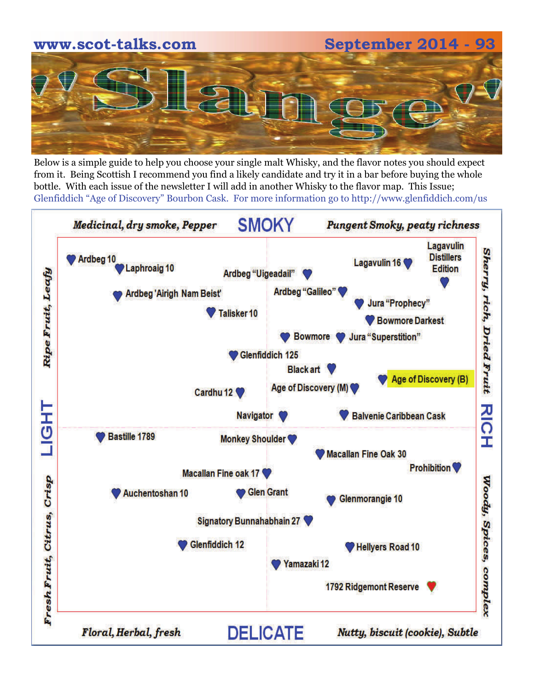# **www.scot-talks.com September 2014 - 93**

Below is a simple guide to help you choose your single malt Whisky, and the flavor notes you should expect from it. Being Scottish I recommend you find a likely candidate and try it in a bar before buying the whole bottle. With each issue of the newsletter I will add in another Whisky to the flavor map. This Issue; Glenfiddich "Age of Discovery" Bourbon Cask. For more information go to http://www.glenfiddich.com/us

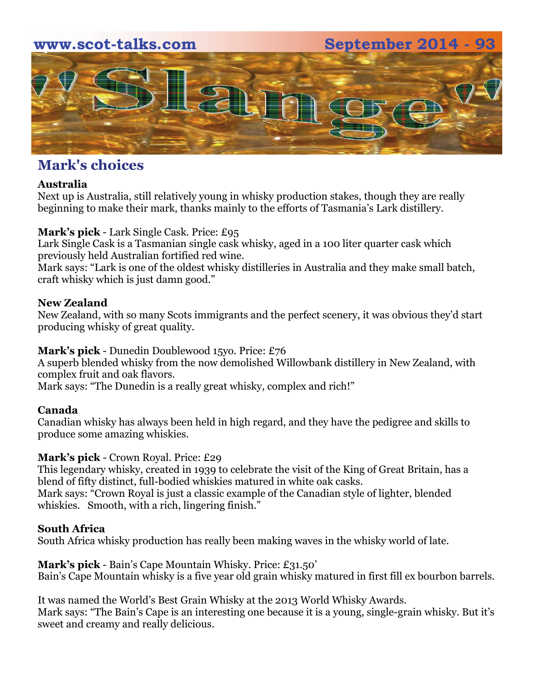#### **www.scot-talks.com September 2014 - 93**



#### **Mark's choices**

#### **Australia**

Next up is Australia, still relatively young in whisky production stakes, though they are really beginning to make their mark, thanks mainly to the efforts of Tasmania's Lark distillery.

#### **Mark's pick** - Lark Single Cask. Price: £95

Lark Single Cask is a Tasmanian single cask whisky, aged in a 100 liter quarter cask which previously held Australian fortified red wine.

Mark says: "Lark is one of the oldest whisky distilleries in Australia and they make small batch, craft whisky which is just damn good."

#### **New Zealand**

New Zealand, with so many Scots immigrants and the perfect scenery, it was obvious they'd start producing whisky of great quality.

#### **Mark's pick** - Dunedin Doublewood 15yo. Price: £76

A superb blended whisky from the now demolished Willowbank distillery in New Zealand, with complex fruit and oak flavors.

Mark says: "The Dunedin is a really great whisky, complex and rich!"

#### **Canada**

Canadian whisky has always been held in high regard, and they have the pedigree and skills to produce some amazing whiskies.

#### **Mark's pick** - Crown Royal. Price: £29

This legendary whisky, created in 1939 to celebrate the visit of the King of Great Britain, has a blend of fifty distinct, full-bodied whiskies matured in white oak casks. Mark says: "Crown Royal is just a classic example of the Canadian style of lighter, blended whiskies. Smooth, with a rich, lingering finish."

#### **South Africa**

South Africa whisky production has really been making waves in the whisky world of late.

**Mark's pick** - Bain's Cape Mountain Whisky. Price: £31.50' Bain's Cape Mountain whisky is a five year old grain whisky matured in first fill ex bourbon barrels.

It was named the World's Best Grain Whisky at the 2013 World Whisky Awards. Mark says: "The Bain's Cape is an interesting one because it is a young, single-grain whisky. But it's sweet and creamy and really delicious.